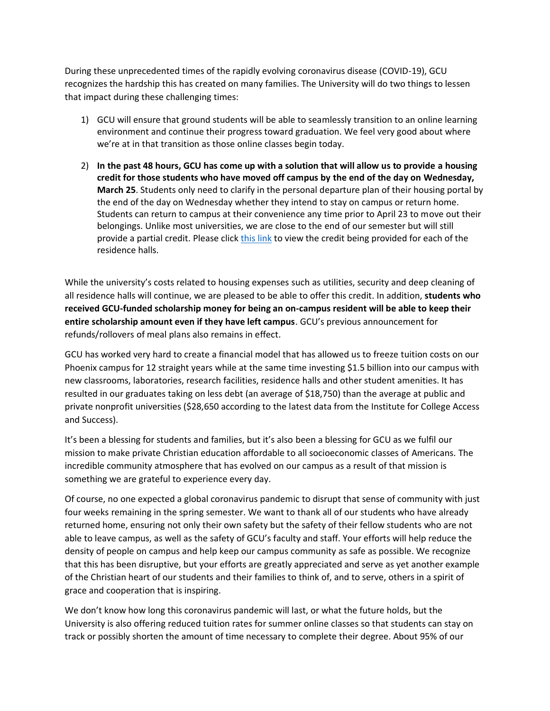During these unprecedented times of the rapidly evolving coronavirus disease (COVID-19), GCU recognizes the hardship this has created on many families. The University will do two things to lessen that impact during these challenging times:

- 1) GCU will ensure that ground students will be able to seamlessly transition to an online learning environment and continue their progress toward graduation. We feel very good about where we're at in that transition as those online classes begin today.
- 2) **In the past 48 hours, GCU has come up with a solution that will allow us to provide a housing credit for those students who have moved off campus by the end of the day on Wednesday, March 25**. Students only need to clarify in the personal departure plan of their housing portal by the end of the day on Wednesday whether they intend to stay on campus or return home. Students can return to campus at their convenience any time prior to April 23 to move out their belongings. Unlike most universities, we are close to the end of our semester but will still provide a partial credit. Please click [this link](https://www.gcu.edu/sites/default/files/media/documents/gcu-spring2020-housing-credit-policy.pdf) to view the credit being provided for each of the residence halls.

While the university's costs related to housing expenses such as utilities, security and deep cleaning of all residence halls will continue, we are pleased to be able to offer this credit. In addition, **students who received GCU-funded scholarship money for being an on-campus resident will be able to keep their entire scholarship amount even if they have left campus**. GCU's previous announcement for refunds/rollovers of meal plans also remains in effect.

GCU has worked very hard to create a financial model that has allowed us to freeze tuition costs on our Phoenix campus for 12 straight years while at the same time investing \$1.5 billion into our campus with new classrooms, laboratories, research facilities, residence halls and other student amenities. It has resulted in our graduates taking on less debt (an average of \$18,750) than the average at public and private nonprofit universities (\$28,650 according to the latest data from the Institute for College Access and Success).

It's been a blessing for students and families, but it's also been a blessing for GCU as we fulfil our mission to make private Christian education affordable to all socioeconomic classes of Americans. The incredible community atmosphere that has evolved on our campus as a result of that mission is something we are grateful to experience every day.

Of course, no one expected a global coronavirus pandemic to disrupt that sense of community with just four weeks remaining in the spring semester. We want to thank all of our students who have already returned home, ensuring not only their own safety but the safety of their fellow students who are not able to leave campus, as well as the safety of GCU's faculty and staff. Your efforts will help reduce the density of people on campus and help keep our campus community as safe as possible. We recognize that this has been disruptive, but your efforts are greatly appreciated and serve as yet another example of the Christian heart of our students and their families to think of, and to serve, others in a spirit of grace and cooperation that is inspiring.

We don't know how long this coronavirus pandemic will last, or what the future holds, but the University is also offering reduced tuition rates for summer online classes so that students can stay on track or possibly shorten the amount of time necessary to complete their degree. About 95% of our